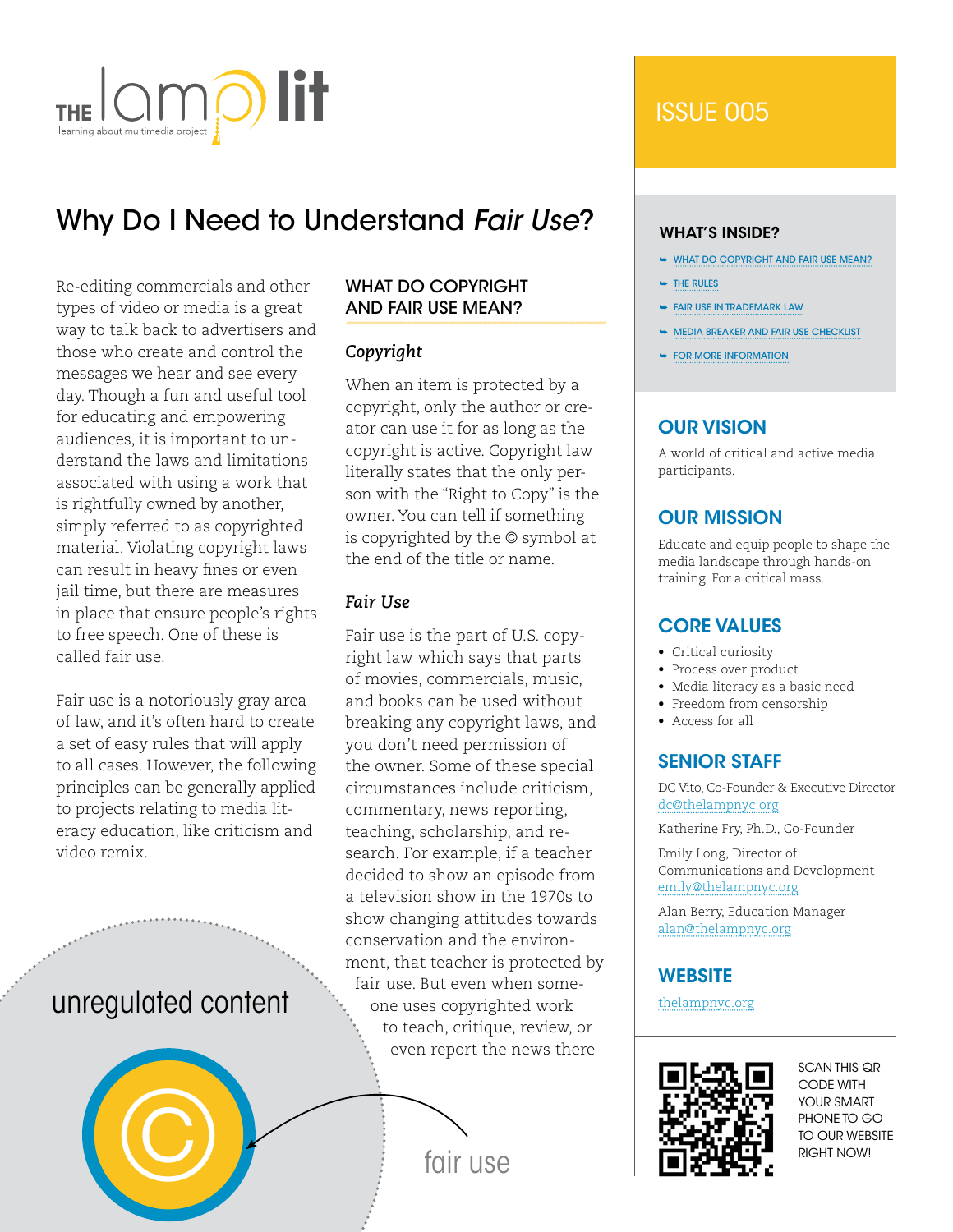

# Why Do I Need to Understand *Fair Use*?

Re-editing commercials and other types of video or media is a great way to talk back to advertisers and those who create and control the messages we hear and see every day. Though a fun and useful tool for educating and empowering audiences, it is important to understand the laws and limitations associated with using a work that is rightfully owned by another, simply referred to as copyrighted material. Violating copyright laws can result in heavy fines or even jail time, but there are measures in place that ensure people's rights to free speech. One of these is called fair use.

Fair use is a notoriously gray area of law, and it's often hard to create a set of easy rules that will apply to all cases. However, the following principles can be generally applied to projects relating to media literacy education, like criticism and video remix.

# unregulated content



# What Do Copyright and Fair Use Mean?

# *Copyright*

When an item is protected by a copyright, only the author or creator can use it for as long as the copyright is active. Copyright law literally states that the only person with the "Right to Copy" is the owner. You can tell if something is copyrighted by the © symbol at the end of the title or name.

# *Fair Use*

Fair use is the part of U.S. copyright law which says that parts of movies, commercials, music, and books can be used without breaking any copyright laws, and you don't need permission of the owner. Some of these special circumstances include criticism, commentary, news reporting, teaching, scholarship, and research. For example, if a teacher decided to show an episode from a television show in the 1970s to show changing attitudes towards conservation and the environment, that teacher is protected by fair use. But even when someone uses copyrighted work to teach, critique, review, or even report the news there

#### WHAT'S INSIDE?

- ➥ What Do Copyright and Fair Use Mean?
- **► THE RULES**
- ➥ [Fair Use in Trademark Law](#page-2-0)
- ➥ [Media Breaker and Fair Use Checklist](#page-3-0)
- **► FOR MORE INFORMATION**

# Our Vision

A world of critical and active media participants.

# Our Mission

Educate and equip people to shape the media landscape through hands-on training. For a critical mass.

# Core Values

- Critical curiosity
- Process over product
- Media literacy as a basic need
- Freedom from censorship
- Access for all

# **SENIOR STAFF**

DC Vito, Co-Founder & Executive Director [dc@thelampnyc.org](mailto:dc%40thelampnyc.org?subject=)

Katherine Fry, Ph.D., Co-Founder

Emily Long, Director of Communications and Development [emily@thelampnyc.org](mailto:emily%40thelampnyc.org?subject=)

Alan Berry, Education Manager [alan@thelampnyc.org](mailto:alan%40thelampnyc.org?subject=)

# **WEBSITE**

[thelampnyc.org](http://thelampnyc.org)



SCAN THIS QR CODE WITH YOUR SMART PHONE TO GO TO OUR WEBSITE RIGHT NOW!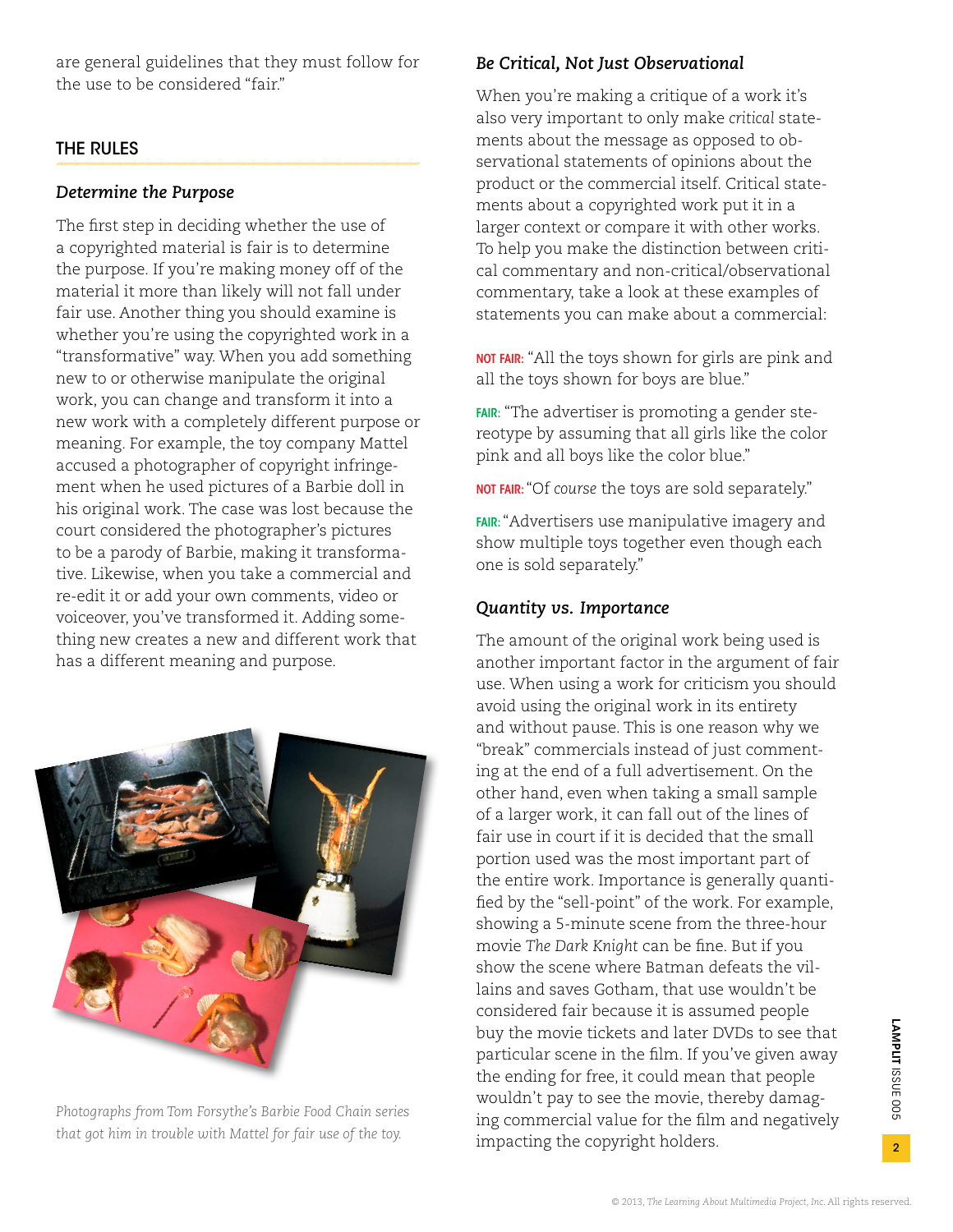<span id="page-1-0"></span>are general guidelines that they must follow for the use to be considered "fair."

# The Rules

### *Determine the Purpose*

The first step in deciding whether the use of a copyrighted material is fair is to determine the purpose. If you're making money off of the material it more than likely will not fall under fair use. Another thing you should examine is whether you're using the copyrighted work in a "transformative" way. When you add something new to or otherwise manipulate the original work, you can change and transform it into a new work with a completely different purpose or meaning. For example, the toy company Mattel accused a photographer of copyright infringement when he used pictures of a Barbie doll in his original work. The case was lost because the court considered the photographer's pictures to be a parody of Barbie, making it transformative. Likewise, when you take a commercial and re-edit it or add your own comments, video or voiceover, you've transformed it. Adding something new creates a new and different work that has a different meaning and purpose.



*Photographs from Tom Forsythe's Barbie Food Chain series that got him in trouble with Mattel for fair use of the toy.*

# *Be Critical, Not Just Observational*

When you're making a critique of a work it's also very important to only make *critical* statements about the message as opposed to observational statements of opinions about the product or the commercial itself. Critical statements about a copyrighted work put it in a larger context or compare it with other works. To help you make the distinction between critical commentary and non-critical/observational commentary, take a look at these examples of statements you can make about a commercial:

NOT FAIR: "All the toys shown for girls are pink and all the toys shown for boys are blue."

FAIR: "The advertiser is promoting a gender stereotype by assuming that all girls like the color pink and all boys like the color blue."

NOT FAIR:"Of *course* the toys are sold separately."

FAIR: "Advertisers use manipulative imagery and show multiple toys together even though each one is sold separately."

#### *Quantity vs. Importance*

The amount of the original work being used is another important factor in the argument of fair use. When using a work for criticism you should avoid using the original work in its entirety and without pause. This is one reason why we "break" commercials instead of just commenting at the end of a full advertisement. On the other hand, even when taking a small sample of a larger work, it can fall out of the lines of fair use in court if it is decided that the small portion used was the most important part of the entire work. Importance is generally quantified by the "sell-point" of the work. For example, showing a 5-minute scene from the three-hour movie *The Dark Knight* can be fine. But if you show the scene where Batman defeats the villains and saves Gotham, that use wouldn't be considered fair because it is assumed people buy the movie tickets and later DVDs to see that particular scene in the film. If you've given away the ending for free, it could mean that people wouldn't pay to see the movie, thereby damaging commercial value for the film and negatively impacting the copyright holders.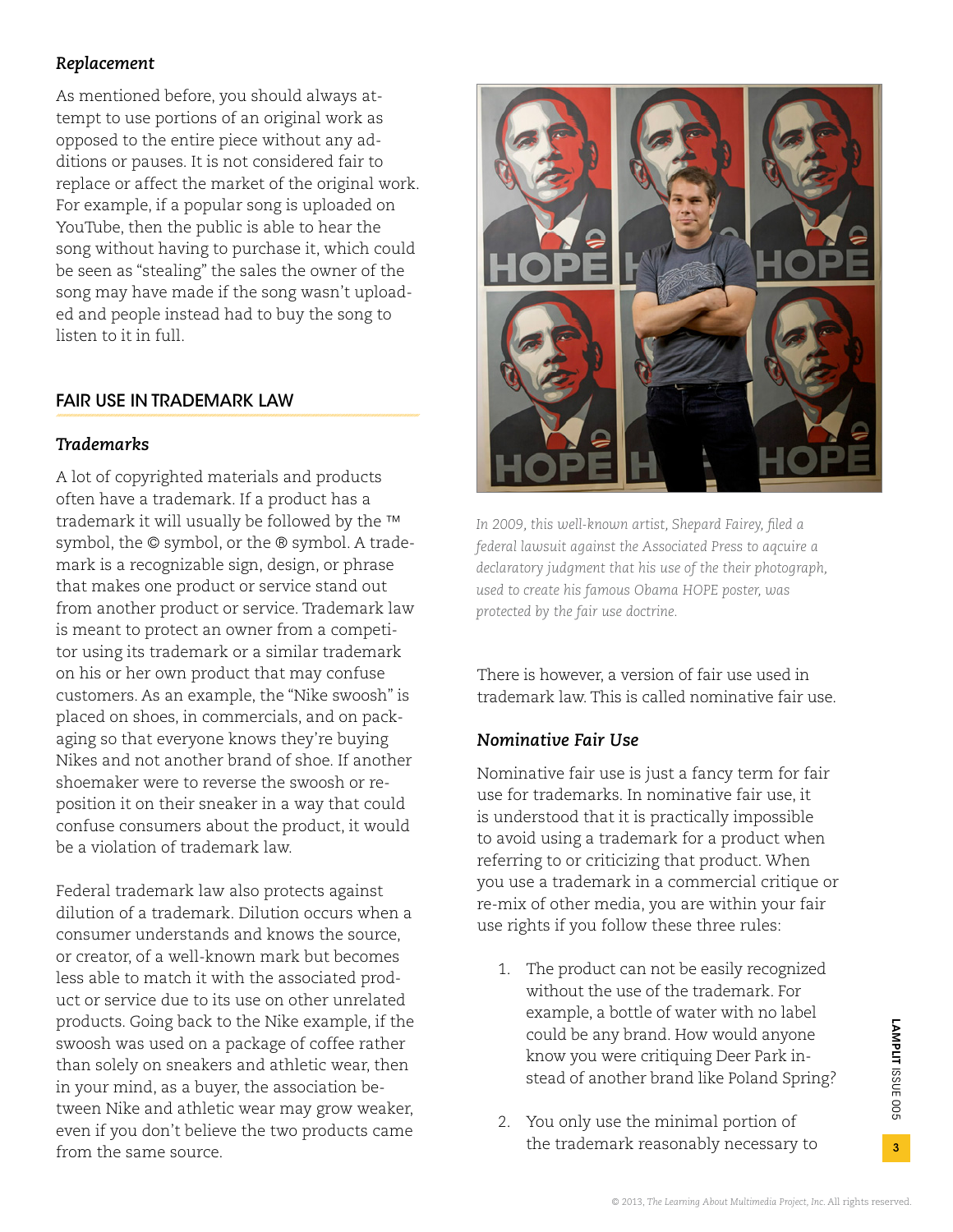# <span id="page-2-0"></span>*Replacement*

As mentioned before, you should always attempt to use portions of an original work as opposed to the entire piece without any additions or pauses. It is not considered fair to replace or affect the market of the original work. For example, if a popular song is uploaded on YouTube, then the public is able to hear the song without having to purchase it, which could be seen as "stealing" the sales the owner of the song may have made if the song wasn't uploaded and people instead had to buy the song to listen to it in full.

# Fair Use in Trademark Law

# *Trademarks*

A lot of copyrighted materials and products often have a trademark. If a product has a trademark it will usually be followed by the ™ symbol, the © symbol, or the ® symbol. A trademark is a recognizable sign, design, or phrase that makes one product or service stand out from another product or service. Trademark law is meant to protect an owner from a competitor using its trademark or a similar trademark on his or her own product that may confuse customers. As an example, the "Nike swoosh" is placed on shoes, in commercials, and on packaging so that everyone knows they're buying Nikes and not another brand of shoe. If another shoemaker were to reverse the swoosh or reposition it on their sneaker in a way that could confuse consumers about the product, it would be a violation of trademark law.

Federal trademark law also protects against dilution of a trademark. Dilution occurs when a consumer understands and knows the source, or creator, of a well-known mark but becomes less able to match it with the associated product or service due to its use on other unrelated products. Going back to the Nike example, if the swoosh was used on a package of coffee rather than solely on sneakers and athletic wear, then in your mind, as a buyer, the association between Nike and athletic wear may grow weaker, even if you don't believe the two products came from the same source.



*In 2009, this well-known artist, Shepard Fairey, filed a federal lawsuit against the Associated Press to aqcuire a declaratory judgment that his use of the their photograph, used to create his famous Obama HOPE poster, was protected by the fair use doctrine.*

There is however, a version of fair use used in trademark law. This is called nominative fair use.

# *Nominative Fair Use*

Nominative fair use is just a fancy term for fair use for trademarks. In nominative fair use, it is understood that it is practically impossible to avoid using a trademark for a product when referring to or criticizing that product. When you use a trademark in a commercial critique or re-mix of other media, you are within your fair use rights if you follow these three rules:

- 1. The product can not be easily recognized without the use of the trademark. For example, a bottle of water with no label could be any brand. How would anyone know you were critiquing Deer Park instead of another brand like Poland Spring?
- 2. You only use the minimal portion of the trademark reasonably necessary to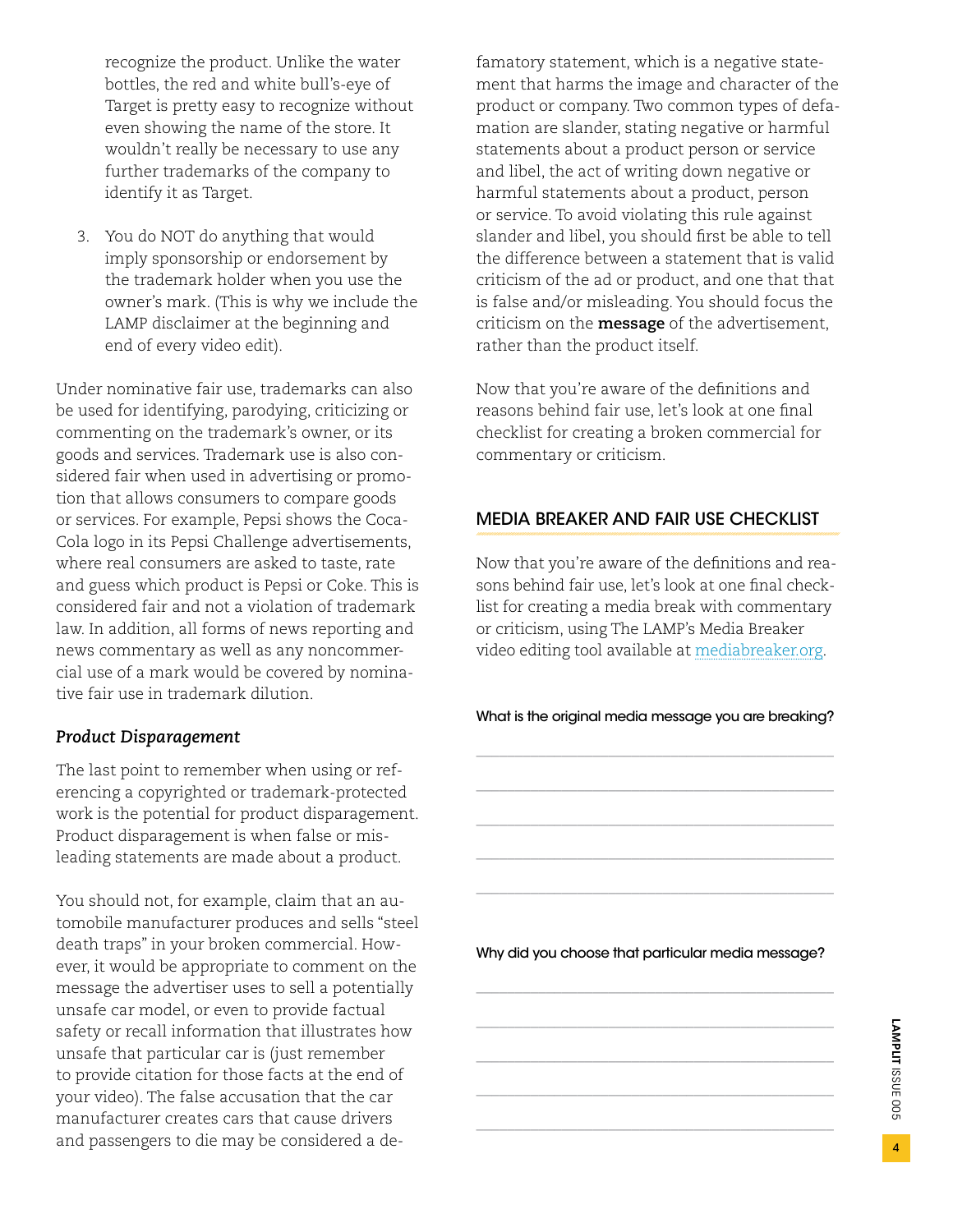<span id="page-3-0"></span>recognize the product. Unlike the water bottles, the red and white bull's-eye of Target is pretty easy to recognize without even showing the name of the store. It wouldn't really be necessary to use any further trademarks of the company to identify it as Target.

3. You do NOT do anything that would imply sponsorship or endorsement by the trademark holder when you use the owner's mark. (This is why we include the LAMP disclaimer at the beginning and end of every video edit).

Under nominative fair use, trademarks can also be used for identifying, parodying, criticizing or commenting on the trademark's owner, or its goods and services. Trademark use is also considered fair when used in advertising or promotion that allows consumers to compare goods or services. For example, Pepsi shows the Coca-Cola logo in its Pepsi Challenge advertisements, where real consumers are asked to taste, rate and guess which product is Pepsi or Coke. This is considered fair and not a violation of trademark law. In addition, all forms of news reporting and news commentary as well as any noncommercial use of a mark would be covered by nominative fair use in trademark dilution.

### *Product Disparagement*

The last point to remember when using or referencing a copyrighted or trademark-protected work is the potential for product disparagement. Product disparagement is when false or misleading statements are made about a product.

You should not, for example, claim that an automobile manufacturer produces and sells "steel death traps" in your broken commercial. However, it would be appropriate to comment on the message the advertiser uses to sell a potentially unsafe car model, or even to provide factual safety or recall information that illustrates how unsafe that particular car is (just remember to provide citation for those facts at the end of your video). The false accusation that the car manufacturer creates cars that cause drivers and passengers to die may be considered a defamatory statement, which is a negative statement that harms the image and character of the product or company. Two common types of defamation are slander, stating negative or harmful statements about a product person or service and libel, the act of writing down negative or harmful statements about a product, person or service. To avoid violating this rule against slander and libel, you should first be able to tell the difference between a statement that is valid criticism of the ad or product, and one that that is false and/or misleading. You should focus the criticism on the **message** of the advertisement, rather than the product itself.

Now that you're aware of the definitions and reasons behind fair use, let's look at one final checklist for creating a broken commercial for commentary or criticism.

## Media Breaker and Fair Use Checklist

Now that you're aware of the definitions and reasons behind fair use, let's look at one final checklist for creating a media break with commentary or criticism, using The LAMP's Media Breaker video editing tool available at [mediabreaker.org.](http://mediabreaker.org)

What is the original media message you are breaking?

\_\_\_\_\_\_\_\_\_\_\_\_\_\_\_\_\_\_\_\_\_\_\_\_\_\_\_\_\_\_\_\_\_\_\_\_\_\_\_\_\_\_\_\_\_\_

\_\_\_\_\_\_\_\_\_\_\_\_\_\_\_\_\_\_\_\_\_\_\_\_\_\_\_\_\_\_\_\_\_\_\_\_\_\_\_\_\_\_\_\_\_\_

\_\_\_\_\_\_\_\_\_\_\_\_\_\_\_\_\_\_\_\_\_\_\_\_\_\_\_\_\_\_\_\_\_\_\_\_\_\_\_\_\_\_\_\_\_\_

\_\_\_\_\_\_\_\_\_\_\_\_\_\_\_\_\_\_\_\_\_\_\_\_\_\_\_\_\_\_\_\_\_\_\_\_\_\_\_\_\_\_\_\_\_\_

\_\_\_\_\_\_\_\_\_\_\_\_\_\_\_\_\_\_\_\_\_\_\_\_\_\_\_\_\_\_\_\_\_\_\_\_\_\_\_\_\_\_\_\_\_\_

Why did you choose that particular media message?

\_\_\_\_\_\_\_\_\_\_\_\_\_\_\_\_\_\_\_\_\_\_\_\_\_\_\_\_\_\_\_\_\_\_\_\_\_\_\_\_\_\_\_\_\_\_

\_\_\_\_\_\_\_\_\_\_\_\_\_\_\_\_\_\_\_\_\_\_\_\_\_\_\_\_\_\_\_\_\_\_\_\_\_\_\_\_\_\_\_\_\_\_

\_\_\_\_\_\_\_\_\_\_\_\_\_\_\_\_\_\_\_\_\_\_\_\_\_\_\_\_\_\_\_\_\_\_\_\_\_\_\_\_\_\_\_\_\_\_

\_\_\_\_\_\_\_\_\_\_\_\_\_\_\_\_\_\_\_\_\_\_\_\_\_\_\_\_\_\_\_\_\_\_\_\_\_\_\_\_\_\_\_\_\_\_

\_\_\_\_\_\_\_\_\_\_\_\_\_\_\_\_\_\_\_\_\_\_\_\_\_\_\_\_\_\_\_\_\_\_\_\_\_\_\_\_\_\_\_\_\_\_